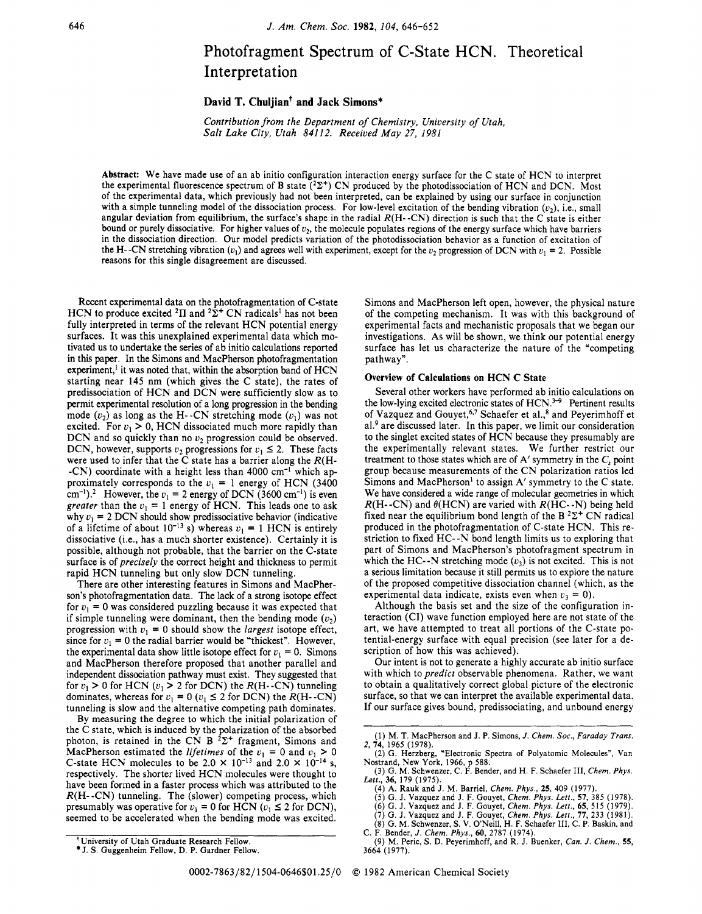# Photofragment Spectrum of C-State HCN. Theoretical Interpretation

### David T. Chuljian<sup>†</sup> and Jack Simons<sup>\*</sup>

*Contribution from the Department of Chemistry, University of Utah, Salt Lake City, Utah 841 12. Received May 27, 1981* 

**Abstract:** We have made use of an ab initio configuration interaction energy surface for the C state of HCN to interpret the experimental fluorescence spectrum of B state  $({}^{2}\Sigma^{+})$  CN produced by the photodissociation of HCN and DCN. Most of the experimental data, which previously had not been interpreted, can be explained by using our surface in conjunction with a simple tunneling model of the dissociation process. For low-level excitation of the bending vibration  $(v_2)$ , i.e., small angular deviation from equilibrium, the surface's shape in the radial  $R(H-CN)$  direction is such that the C state is either bound or purely dissociative. For higher values of  $v<sub>2</sub>$ , the molecule populates regions of the energy surface which have barriers in the dissociation direction. Our model predicts variation of the photodissociation behavior as a function of excitation of the H--CN stretching vibration  $(v_1)$  and agrees well with experiment, except for the  $v_2$  progression of DCN with  $v_1 = 2$ . Possible reasons for this single disagreement are discussed.

Recent experimental data on the photofragmentation of C-state HCN to produce excited <sup>2</sup>II and <sup>2</sup> $\bar{\Sigma}$ <sup>+</sup> CN radicals<sup>1</sup> has not been fully interpreted in terms of the relevant HCN potential energy surfaces. It was this unexplained experimental data which motivated us to undertake the series of ab initio calculations reported in this paper. In the Simons and MacPherson photofragmentation experiment,<sup>1</sup> it was noted that, within the absorption band of HCN starting near 145 nm (which gives the C state), the rates of predissociation of HCN and DCN were sufficiently slow as to permit experimental resolution of a long progression in the bending mode  $(v_2)$  as long as the H--CN stretching mode  $(v_1)$  was not excited. For  $v_1 > 0$ , HCN dissociated much more rapidly than DCN and so quickly than no  $v_2$  progression could be observed. excited. For  $v_1 > 0$ , HCN dissociated much more rapidly than DCN and so quickly than no  $v_2$  progression could be observed.<br>DCN, however, supports  $v_2$  progressions for  $v_1 \le 2$ . These facts were used to infer that th were used to infer that the  $C$  state has a barrier along the  $R(H-$ -CN) coordinate with a height less than 4000  $cm^{-1}$  which approximately corresponds to the  $v_1 = 1$  energy of HCN (3400) cm<sup>-1</sup>).<sup>2</sup> However, the  $v_1 = 2$  energy of DCN (3600 cm<sup>-1</sup>) is even *greater* than the  $v_1 = 1$  energy of HCN. This leads one to ask why  $v_1 = 2$  DCN should show predissociative behavior (indicative of a lifetime of about  $10^{-13}$  s) whereas  $v_1 = 1$  HCN is entirely dissociative (i.e., has a much shorter existence). Certainly it is possible, although not probable, that the barrier on the C-state surface is of *precisely* the correct height and thickness to permit rapid HCN tunneling but only slow DCN tunneling.

There are other interesting features in Simons and MacPherson's photofragmentation data. The lack of a strong isotope effect for  $v_1 = 0$  was considered puzzling because it was expected that if simple tunneling were dominant, then the bending mode  $(v_2)$ progression with  $v_1 = 0$  should show the *largest* isotope effect, since for  $v_1 = 0$  the radial barrier would be "thickest". However, the experimental data show little isotope effect for  $v_1 = 0$ . Simons and MacPherson therefore proposed that another parallel and independent dissociation pathway must exist. They suggested that for  $v_1 > 0$  for HCN  $(v_1 > 2$  for DCN) the  $R(H - CN)$  tunneling dominates, whereas for  $v_1 = 0$  ( $v_1 \le 2$  for DCN) the R(H--CN) tunneling is slow and the alternative competing path dominates.

By measuring the degree to which the initial polarization of the C state, which is induced by the polarization of the absorbed photon, is retained in the CN B  ${}^{2}\Sigma^{+}$  fragment, Simons and MacPherson estimated the *lifetimes* of the  $v_1 = 0$  and  $v_1 > 0$ C-state HCN molecules to be 2.0  $\times$  10<sup>-13</sup> and 2.0  $\times$  10<sup>-14</sup> s, respectively. The shorter lived HCN molecules were thought to have been formed in a faster process which was attributed to the **R(H-** -CN) tunneling. The (slower) competing process, which presumably was operative for  $v_1 = 0$  for HCN  $(v_1 \le 2$  for DCN), seemed to be accelerated when the bending mode was excited. Simons and MacPherson left open, however, the physical nature of the competing mechanism. It was with this background of experimental facts and mechanistic proposals that we began our investigations. As will be shown, we think our potential energy surface has let us characterize the nature of the "competing pathway".

#### **Overview of Calculations on HCN C State**

Several other workers have performed ab initio calculations on the low-lying excited electronic states of  $HCN<sup>3-9</sup>$  Pertinent results of Vazquez and Gouyet,<sup>6,7</sup> Schaefer et al.,<sup>8</sup> and Peyerimhoff et aL9 are discussed later. In this paper, we limit our consideration to the singlet excited states of HCN because they presumably are the experimentally relevant states. We further restrict our treatment to those states which are of  $A'$  symmetry in the  $C_s$  point group because measurements of the CN polarization ratios led Simons and MacPherson' to assign A' symmetry to the C state. We have considered a wide range of molecular geometries in which  $R(H-CN)$  and  $\theta(HCN)$  are varied with  $R(HC--N)$  being held fixed near the equilibrium bond length of the B  $22^+$  CN radical produced in the photofragmentation of C-state HCN. This restriction to fixed HC- -N bond length limits us to exploring that part of Simons and MacPherson's photofragment spectrum in which the HC--N stretching mode  $(v_3)$  is not excited. This is not a serious limitation because it still permits us to explore the nature of the proposed competitive dissociation channel (which, as the experimental data indicate, exists even when  $v_3 = 0$ ).

Although the basis set and the size of the configuration interaction (CI) wave function employed here are not state of the art, we have attempted to treat all portions of the C-state potential-energy surface with equal precision (see later for a description of how this was achieved).

Our intent is not to generate a highly accurate ab initio surface with which to *predict* observable phenomena. Rather, we want to obtain a qualitatively correct global picture of the electronic surface, so that we can interpret the available experimental data. If our surface gives bound, predissociating, and unbound energy

<sup>(1)</sup> M. T. MacPherson and J. P. Simons, *J. Chem. SOC., Faraday Trans.*  **2, 74,** 1965 (1978).

<sup>(2)</sup> G. Herzberg, "Electronic Spectra of Polyatomic Molecules", Van Nostrand, New York, 1966, p 588.<br>
(3) G. M. Schwenzer, C. F. Bender, and H. F. Schaefer III, *Chem. Phys.* 

*Lett.,* **36,** 179 (1975).

<sup>(4)</sup> A. Rauk and J. M. Barriel, *Chem. Phys.*, 25, 409 (1977).<br>
(5) G. J. Vazquez and J. F. Gouyet, *Chem. Phys. Lett.*, 57, 385 (1978).<br>
(6) G. J. Vazquez and J. F. Gouyet, *Chem. Phys. Lett.*, 65, 315 (1979).<br>
(7) G. J.

<sup>(9)</sup> M. Peric, S. D. Peyerimhoff, and R. J. Buenker, Can. *J. Chem.,* **55,**  3664 (1977).

University of Utah Graduate Research Fellow. J. **S.** Guggenheim Fellow, D. P. Gardner Fellow.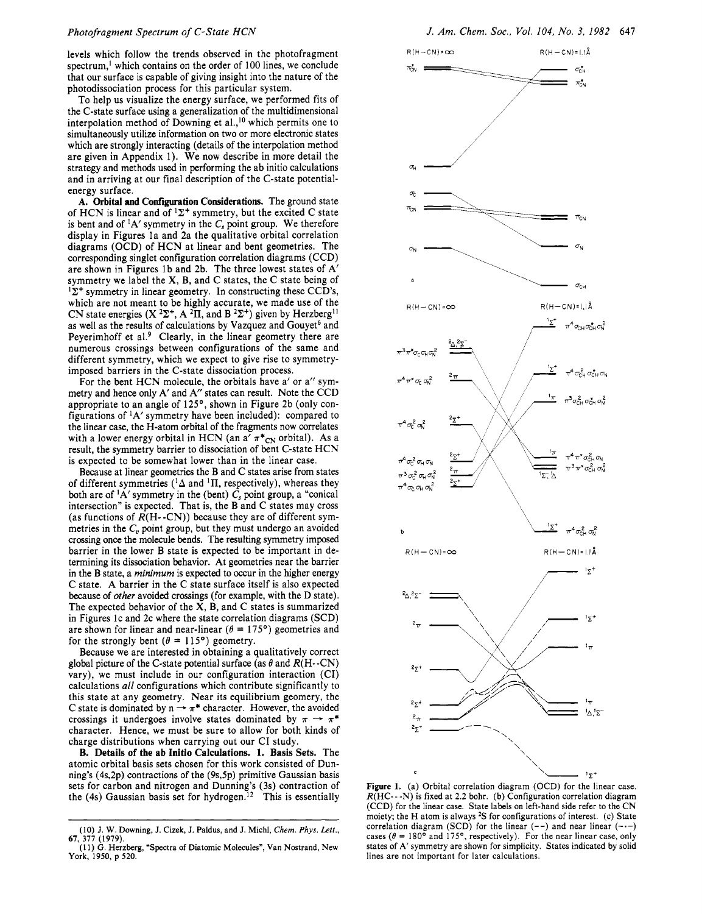#### *Photofragment Spectrum of C-State HCN*

levels which follow the trends observed in the photofragment spectrum,<sup>1</sup> which contains on the order of 100 lines, we conclude that our surface is capable of giving insight into the nature of the photodissociation process for this particular system.

To help **us** visualize the energy surface, we performed fits of the C-state surface using a generalization of the multidimensional interpolation method of Downing et al.,<sup>10</sup> which permits one to simultaneously utilize information on two or more electronic states which are strongly interacting (details of the interpolation method are given in Appendix 1). We now describe in more detail the strategy and methods **used** in performing the ab initio calculations and in arriving at our final description of the C-state potentialenergy surface.

**A. Orbital and Configuration Considerations.** The ground state of HCN is linear and of  ${}^{1}\Sigma^{+}$  symmetry, but the excited C state is bent and of  ${}^{1}A'$  symmetry in the  $C_s$  point group. We therefore display in Figures la and 2a the qualitative orbital correlation diagrams (OCD) of HCN at linear and bent geometries. The corresponding singlet configuration correlation diagrams (CCD) are shown in Figures lb and 2b. The three lowest states of A' symmetry we label the **X,** B, and C states, the C state being of  $12^+$  symmetry in linear geometry. In constructing these CCD's, which are not meant to be highly accurate, we made use of the CN state energies  $(X^2\Sigma^+, A^2\Pi,$  and  $B^2\Sigma^+$ ) given by Herzberg<sup>11</sup> as well as the results of calculations by Vazquez and Gouyet<sup>6</sup> and Peyerimhoff et al.<sup>9</sup> Clearly, in the linear geometry there are numerous crossings between configurations of the same and different symmetry, which we expect to give rise to symmetryimposed barriers in the C-state dissociation process.

For the bent HCN molecule, the orbitals have a' or a" symmetry and hence only **A'** and A" states can result. Note the CCD appropriate to an angle of 125°, shown in Figure 2b (only configurations of 'A' symmetry have been included): compared to the linear case, the H-atom orbital of the fragments now correlates with a lower energy orbital in HCN (an  $a' \pi^*_{CN}$  orbital). As a result, the symmetry barrier to dissociation of bent C-state HCN is expected to be somewhat lower than in the linear case.

Because at linear geometries the B and C states arise from states of different symmetries ( ${}^{1}\Delta$  and  ${}^{1}\Pi$ , respectively), whereas they both are of  ${}^{1}\text{A}'$  symmetry in the (bent)  $C_s$  point group, a "conical intersection" is expected. That is, the B and C states may cross (as functions of  $R(H-CN)$ ) because they are of different symmetries in the *C,* point group, but they must undergo an avoided crossing once the molecule bends. The resulting symmetry imposed barrier in the lower B state is expected to be important in determining its dissociation behavior. At geometries near the barrier in the **0** state, a *minimum* **is** expected to occur in the higher energy C state. **A** barrier in the C state surface itself is also expected because of *other* avoided crossings (for example, with the D state). The expected behavior of the **X, B,** and C states is summarized in Figures IC and 2c where the state correlation diagrams (SCD) are shown for linear and near-linear ( $\theta = 175^{\circ}$ ) geometries and for the strongly bent  $(\theta = 115^{\circ})$  geometry.

Because we are interested in obtaining a qualitatively correct global picture of the C-state potential surface (as  $\theta$  and  $R(H-CN)$ ) vary), we must include in our configuration interaction (CI) calculations *all* configurations which contribute significantly to this state at any geometry. Near its equilibrium geomery, the calculations *all* configurations which contribute significantly to<br>this state at any geometry. Near its equilibrium geomery, the<br>C state is dominated by  $n \rightarrow \pi^*$  character. However, the avoided<br>expansions it undergoes i this state at any geometry. Near its equilibrium geomery, the C state is dominated by  $n \rightarrow \pi^*$  character. However, the avoided crossings it undergoes involve states dominated by  $\pi \rightarrow \pi^*$  and  $\pi^*$ character. Hence, we must be sure to allow for both kinds of charge distributions when carrying out our CI study.

**B. Details of the ab Initio Calculations. 1. Basis Sets.** The atomic orbital basis sets chosen for this work consisted of Dunning's (4s,2p) contractions of the **(9s,5p)** primitive Gaussian basis sets for carbon and nitrogen and Dunning's **(3s)** contraction of the (4s) Gaussian basis set for hydrogen.<sup>12</sup> This is essentially



**Figure 1.** (a) Orbital correlation diagram (OCD) for the linear case. R(HC- - -N) is fixed at **2.2** bohr. (b) Configuration correlation diagram (CCD) for the linear case. State labels on left-hand side refer to the CN moiety; the H atom is always  $2S$  for configurations of interest. (c) State correlation diagram (SCD) for the linear  $(--)$  and near linear  $(--)$ cases ( $\theta = 180^{\circ}$  and 175°, respectively). For the near linear case, only states of **A'** symmetry are shown for simplicity. States indicated by solid lines are not important for later calculations.

**<sup>(</sup>IO) J. W.** Downing, J. Cizek, J. Paldus, and J. Michl, *Chem. Phys. Lett., 61,* **377 (1979).** 

<sup>(1</sup> **1) G.** Herzberg, "Spectra of Diatomic **Molecules",** Van Nostrand, New York, **1950, p 520.**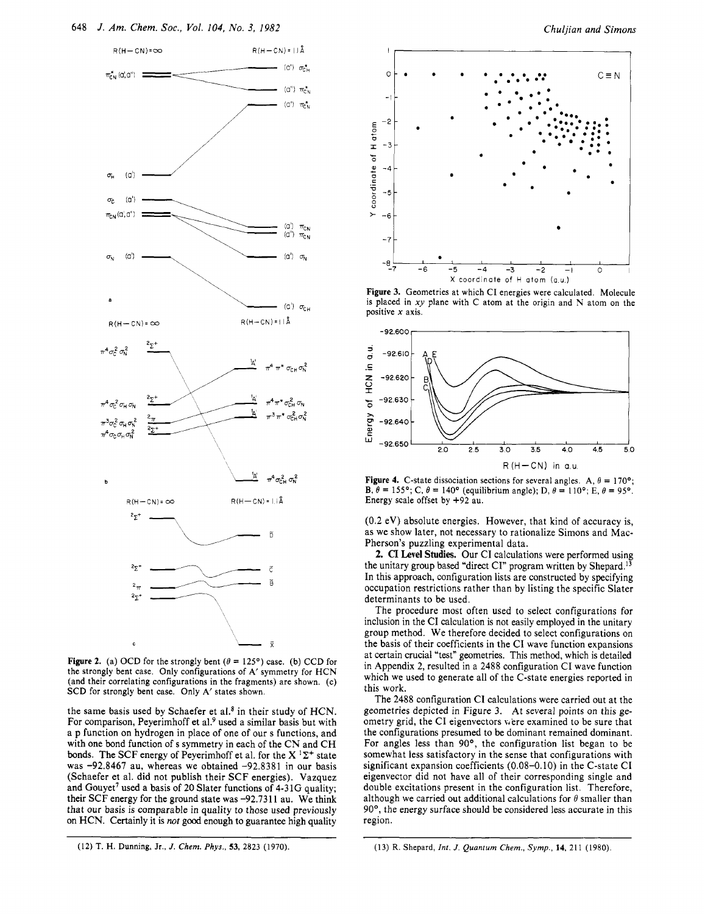

**Figure 2.** (a) OCD for the strongly bent  $(\theta = 125^{\circ})$  case. (b) CCD for the strongly bent case. Only configurations of **A'** symmetry for HCN (and their correlating configurations in the fragments) are shown. (c) SCD for strongly bent case. Only **A'** states shown.

the same basis used by Schaefer et al.<sup>8</sup> in their study of HCN. For comparison, Peyerimhoff et al.<sup>9</sup> used a similar basis but with a p function on hydrogen in place of one of our **s** functions, and with one bond function of **s** symmetry in each of the CN and CH bonds. The SCF energy of Peyerimhoff et al. for the  $X^1\Sigma^+$  state was -92.8467 au, whereas we obtained -92.8381 in our basis (Schaefer et al. did not publish their SCF energies). Vazquez and Gouyet<sup>7</sup> used a basis of 20 Slater functions of 4-31G quality; their SCF energy for the ground state was -92.7311 au. We think that our basis is comparable in quality to those used previously on HCN. Certainly it is *not* good enough to guarantee high quality

*Chuljian and Simons* 



**Figure 3.** Geometries at which CI energies were calculated. Molecule is placed in *xy* plane with C atom at the origin and N atom on the positive *x* axis.



**Figure 4.** C-state dissociation sections for several angles. A,  $\theta = 170^{\circ}$ ; **B**,  $\theta = 155^{\circ}$ ; C,  $\theta = 140^{\circ}$  (equilibrium angle); D,  $\theta = 110^{\circ}$ ; E,  $\theta = 95^{\circ}$ . Energy scale offset by **+92** au.

(0.2 eV) absolute energies. However, that kind of accuracy is, as we show later, not necessary to rationalize Simons and Mac-Pherson's puzzling experimental data.

**2.** *CI* **Level Studies.** Our CI calculations were performed using the unitary group based "direct CI" program written by Shepard.<sup>13</sup> In this approach, configuration lists are constructed by specifying occupation restrictions rather than by listing the specific Slater determinants to be used.

The procedure most often used to select configurations for inclusion in the CI calculation is not easily employed in the unitary group method. We therefore decided to select configurations on the basis of their coefficients in the CI wave function expansions at certain crucial "test" geometries. This method, which is detailed in Appendix 2, resulted in a 2488 configuration CI wave function which we used to generate all of the C-state energies reported in this work.

The 2488 configuration CI calculations were carried out at the geometries depicted in Figure 3. At several points on this **ge**ometry grid, the CI eigenvectors v.ere examined to be sure that the configurations presumed to be dominant remained dominant. For angles less than 90°, the configuration list began to be somewhat less satisfactory in the sense that configurations with significant expansion coefficients (0.08-0.10) in the C-state CI eigenvector did not have all of their corresponding single and double excitations present in the configuration list. Therefore, although we carried out additional calculations for  $\theta$  smaller than **90°,** the energy surface should be considered less accurate in this region.

<sup>(12)</sup> **T. H.** Dunning, Jr., *J. Chem. Phys.,* **53,** 2823 (1970). (13) R. Shepard, *In?. J. Quantum Chem., Symp.,* **14,** 211 (1980).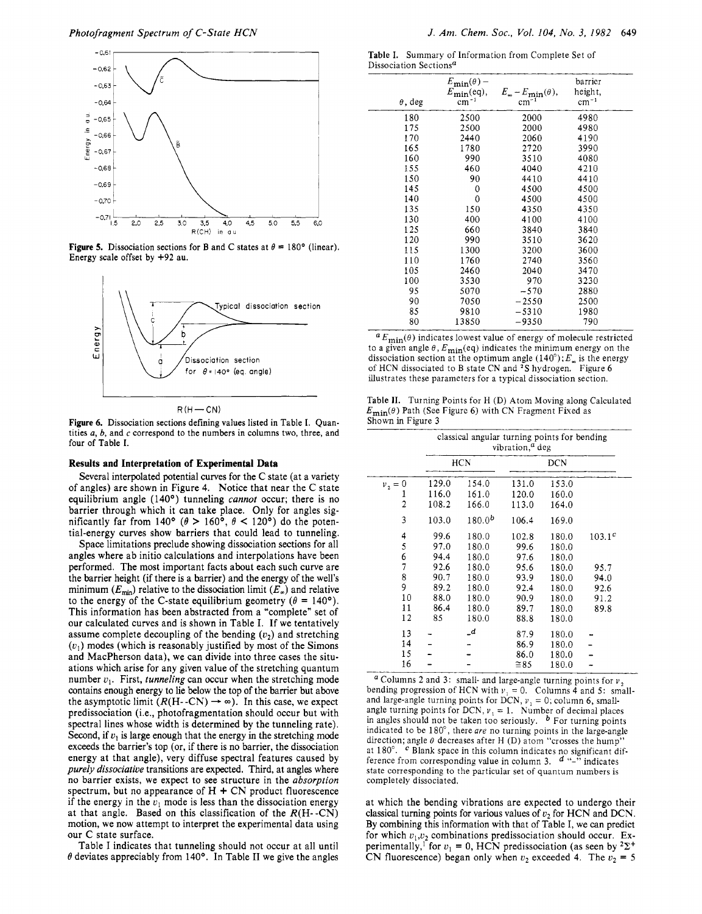

**Figure 5.** Dissociation sections for B and C states at  $\theta = 180^{\circ}$  (linear). Energy scale offset by +92 au.



 $R(H - CM)$ 

**Figure 6.** Dissociation sections defining values listed in Table I. Quantities a, b, and c correspond to the numbers in columns two, three, and four of Table I.

#### **Results and Interpretation of Experimental Data**

Several interpolated potential curves for the C state (at a variety of angles) are shown in Figure 4. Notice that near the C state equilibrium angle (140°) tunneling *cannot* occur; there is no barrier through which it can take place. Only for angles significantly far from 140° ( $\theta > 160^{\circ}$ ,  $\theta < 120^{\circ}$ ) do the potential-energy curves show barriers that could lead to tunneling.

Space limitations preclude showing dissociation sections for all angles where ab initio calculations and interpolations have been performed. The most important facts about each such curve are the barrier height (if there is a barrier) and the energy of the well's minimum  $(E_{min})$  relative to the dissociation limit  $(E_{\infty})$  and relative to the energy of the C-state equilibrium geometry ( $\theta = 140^{\circ}$ ). This information has been abstracted from a "complete" set of our calculated curves and is shown in Table I. If we tentatively assume complete decoupling of the bending  $(v_2)$  and stretching  $(v_1)$  modes (which is reasonably justified by most of the Simons and MacPherson data), we can divide into three cases the situations which arise for any given value of the stretching quantum number  $v_1$ . First, *tunneling* can occur when the stretching mode number  $v_1$ . First, *tunneling* can occur when the stretching mode contains enough energy to lie below the top of the barrier but above the asymptotic limit  $(R(H - CN) \rightarrow \infty)$ . In this case, we expect<br>needless proposed in the predissociation (i.e., photofragmentation should occur but with spectral lines whose width is determined by the tunneling rate). Second, if  $v_1$  is large enough that the energy in the stretching mode exceeds the barrier's top (or, if there is no barrier, the dissociation energy at that angle), very diffuse spectral features caused by *purely dissociative* transitions are expected. Third, at angles where no barrier exists, we expect to see structure in the *absorption*  spectrum, but no appearance of  $H + CN$  product fluorescence if the energy in the  $v_1$  mode is less than the dissociation energy at that angle. Based on this classification of the  $R(H-CN)$ motion, we now attempt to interpret the experimental data using our C state surface.

Table I indicates that tunneling should not occur at all until  $\theta$  deviates appreciably from 140 $\degree$ . In Table II we give the angles

Table I. Summary of Information from Complete Set of Dissociation Sections<sup>a</sup>

| $\theta$ , deg | $E_{\textbf{min}}(\theta)$ –<br>$E_{\bf min}$ (eq),<br>$cm^{-1}$ | $E_{\infty}-E_{\min}(\theta),$<br>$cm^{-1}$ | barrier<br>height,<br>$cm^{-1}$ |  |
|----------------|------------------------------------------------------------------|---------------------------------------------|---------------------------------|--|
| 180            | 2500                                                             | 2000                                        | 4980                            |  |
| 175            | 2500                                                             | 2000                                        | 4980                            |  |
| 170            | 2440                                                             | 2060                                        | 4190                            |  |
| 165            | 1780                                                             | 2720                                        | 3990                            |  |
| 160            | 990                                                              | 3510                                        | 4080                            |  |
| 155            | 460                                                              | 4040                                        | 4210                            |  |
| 150            | 90                                                               | 4410                                        | 4410                            |  |
| 145            | 0                                                                | 4500                                        | 4500                            |  |
| 140            | 0                                                                | 4500                                        | 4500                            |  |
| 135            | 150                                                              | 4350                                        | 4350                            |  |
| 130            | 400                                                              | 4100                                        | 4100                            |  |
| 125            | 660                                                              | 3840                                        | 3840                            |  |
| 120            | 990                                                              | 3510                                        | 3620                            |  |
| 115            | 1300                                                             | 3200                                        | 3600                            |  |
| 110            | 1760                                                             | 2740                                        | 3560                            |  |
| 105            | 2460                                                             | 2040                                        | 3470                            |  |
| $100\,$        | 3530                                                             | 970                                         | 3230                            |  |
| 95             | 5070                                                             | $-570$                                      | 2880                            |  |
| 90             | 7050                                                             | $-2550$                                     | 2500                            |  |
| 85             | 9810                                                             | $-5310$                                     | 1980                            |  |
| 80             | 13850                                                            | $-9350$                                     | 790                             |  |

 ${}^{\alpha}E_{\text{min}}(\theta)$  indicates lowest value of energy of molecule restricted to a given angle  $\theta$ ,  $E_{\text{min}}(eq)$  indicates the minimum energy on the dissociation section at the optimum angle  $(140^{\circ})$ ;  $E_{\infty}$  is the energy of HCN dissociated to B state CN and **2S** hydrogen. Figure 6 illustrates these parameters for a typical dissociation section.

Table **11.** Turning Points for H (D) Atom Moving along Calculated  $E_{\text{min}}(\theta)$  Path (See Figure 6) with CN Fragment Fixed as Shown in Figure 3

|                | classical angular turning points for bending<br>vibration. <sup><math>a</math></sup> deg |             |              |       |                    |  |
|----------------|------------------------------------------------------------------------------------------|-------------|--------------|-------|--------------------|--|
|                | <b>HCN</b>                                                                               |             | DCN          |       |                    |  |
| 0<br>$v_2 =$   | 129.0                                                                                    | 154.0       | 131.0        | 153.0 |                    |  |
| 1              | 116.0                                                                                    | 161.0       | 120.0        | 160.0 |                    |  |
| $\overline{2}$ | 108.2                                                                                    | 166.0       | 113.0        | 164.0 |                    |  |
| 3              | 103.0                                                                                    | $180.0^{b}$ | 106.4        | 169.0 |                    |  |
| 4              | 99.6                                                                                     | 180.0       | 102.8        | 180.0 | 103.1 <sup>c</sup> |  |
| 5              | 97.0                                                                                     | 180.0       | 99.6         | 180.0 |                    |  |
| 6              | 94.4                                                                                     | 180.0       | 97.6         | 180.0 |                    |  |
| 7              | 92.6                                                                                     | 180.0       | 95.6         | 180.0 | 95.7               |  |
| 8              | 90.7                                                                                     | 180.0       | 93.9         | 180.0 | 94.0               |  |
| 9              | 89.2                                                                                     | 180.0       | 92.4         | 180.0 | 92.6               |  |
| 10             | 88.0                                                                                     | 180.0       | 90.9         | 180.0 | 91.2               |  |
| 11             | 86.4                                                                                     | 180.0       | 89.7         | 180.0 | 89.8               |  |
| 12             | 85                                                                                       | 180.0       | 88.8         | 180.0 |                    |  |
| 13             |                                                                                          | _d          | 87.9         | 180.0 |                    |  |
| 14             |                                                                                          |             | 86.9         | 180.0 |                    |  |
| 15             |                                                                                          |             | 86.0         | 180.0 |                    |  |
| 16             |                                                                                          |             | $\approx 85$ | 180.0 |                    |  |

<sup>*a*</sup> Columns 2 and 3: small- and large-angle turning points for  $v_2$ bending progression of HCN with  $v_1 = 0$ . Columns 4 and 5: smalland large-angle turning points for DCN,  $v_1 = 0$ ; column 6, smallangle turning points for DCN,  $v_1 = 1$ . Number of decimal places in angles should not be taken too seriously. <sup>b</sup> For turning points indicated to be 180°, there *are* no turning points in the large-angle direction; angle  $\theta$  decreases after H (D) atom "crosses the hump" at 180°.  $\cdot$  Blank space in this column indicates no significant dif-<br>ference from corresponding value in column 3.  $\cdot$   $\cdot$   $\cdot$  indicates state corresponding to the particular set of quantum numbers is completely dissociated.

at which the bending vibrations are expected to undergo their classical turning points for various values of  $v_2$  for HCN and DCN. By combining this information with that of Table I, we **can** predict for which  $v_1, v_2$  combinations predissociation should occur. Experimentally,<sup>1</sup> for  $v_1 = 0$ , HCN predissociation (as seen by <sup>2</sup> $\Sigma^+$ CN fluorescence) began only when  $v_2$  exceeded 4. The  $v_2 = 5$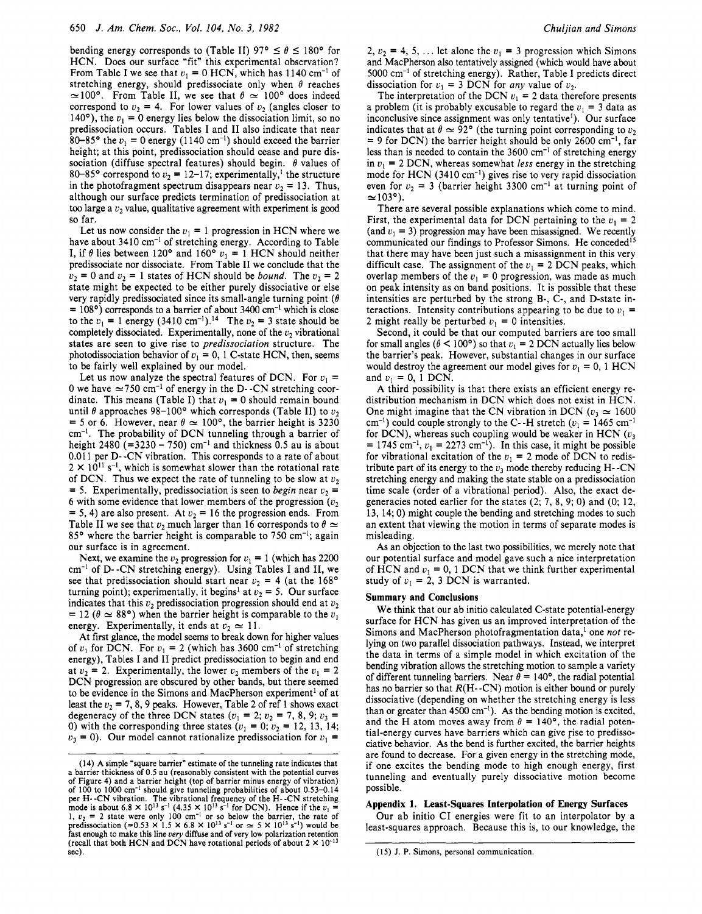bending energy corresponds to (Table II)  $97^\circ \le \theta \le 180^\circ$  for HCN. Does our surface "fit" this experimental observation? From Table I we see that  $v_1 = 0$  HCN, which has 1140 cm<sup>-1</sup> of stretching energy, should predissociate only when  $\theta$  reaches  $\simeq$ 100°. From Table II, we see that  $\theta \simeq 100^{\circ}$  does indeed correspond to  $v_2 = 4$ . For lower values of  $v_2$  (angles closer to 140°), the  $v_1 = 0$  energy lies below the dissociation limit, so no predissociation occurs. Tables I and I1 also indicate that near 80-85° the  $v_1 = 0$  energy (1140 cm<sup>-1</sup>) should exceed the barrier height; at this point, predissociation should cease and pure dissociation (diffuse spectral features) should begin.  $\theta$  values of 80-85° correspond to  $v_2 = 12$ -17; experimentally,<sup>1</sup> the structure in the photofragment spectrum disappears near  $v_2 = 13$ . Thus, although our surface predicts termination of predissociation at too large a *u2* value, qualitative agreement with experiment is good so far.

Let us now consider the  $v_1 = 1$  progression in HCN where we have about 3410 cm<sup>-1</sup> of stretching energy. According to Table I, if  $\theta$  lies between 120° and 160°  $v_1 = 1$  HCN should neither predissociate nor dissociate. From Table I1 we conclude that the  $v_2 = 0$  and  $v_2 = 1$  states of HCN should be *bound*. The  $v_2 = 2$ state might be expected to be either purely dissociative or else very rapidly predissociated since its small-angle turning point ( $\theta$  $= 108^{\circ}$ ) corresponds to a barrier of about 3400 cm<sup>-1</sup> which is close to the  $v_1 = 1$  energy (3410 cm<sup>-1</sup>).<sup>14</sup> The  $v_2 = 3$  state should be completely dissociated. Experimentally, none of the  $v<sub>2</sub>$  vibrational states are seen to give rise to *predissociation* structure. The photodissociation behavior of  $v_1 = 0$ , 1 C-state HCN, then, seems to be fairly well explained by our model.

Let us now analyze the spectral features of DCN. For  $v_1$  = 0 we have  $\simeq$ 750 cm<sup>-1</sup> of energy in the D--CN stretching coordinate. This means (Table I) that  $v_1 = 0$  should remain bound until  $\theta$  approaches 98-100° which corresponds (Table II) to  $v_2$ <br>= 5 or 6. However, near  $\theta \approx 100^{\circ}$ , the barrier height is 3230 cm-'. The probability of DCN tunneling through a barrier of height 2480 (=3230 - 750) cm<sup>-1</sup> and thickness 0.5 au is about 0.011 per D--CN vibration. This corresponds to a rate of about  $2 \times 10^{11}$  s<sup>-1</sup>, which is somewhat slower than the rotational rate of DCN. Thus we expect the rate of tunneling to be slow at  $v_2$  $= 5.$  Experimentally, predissociation is seen to *begin* near  $v_2 =$ 6 with some evidence that lower members of the progression  $(v_2 = 5, 4)$  are also present. At  $v_2 = 16$  the progression ends. From Table II we see that  $v_2$  much larger than 16 corresponds to  $\theta \approx$ 85 $\degree$  where the barrier height is comparable to 750 cm<sup>-1</sup>; again our surface is in agreement.

Next, we examine the  $v_2$  progression for  $v_1 = 1$  (which has 2200) cm-' of D- -CN stretching energy). Using Tables I and 11, we see that predissociation should start near  $v_2 = 4$  (at the 168° turning point); experimentally, it begins<sup>1</sup> at  $v_2 = 5$ . Our surface indicates that this  $v_2$  predissociation progression should end at  $v_2$ indicates that this  $v_2$  predissociation progression should end at  $v_2$ <br>= 12 ( $\theta \approx 88^\circ$ ) when the barrier height is comparable to the  $v_1$ = 12 ( $\theta \approx 88^\circ$ ) when the barrier height is concergy. Experimentally, it ends at  $v_2 \approx 11$ .

At first glance, the model **seems** to break down for higher values of  $v_1$  for DCN. For  $v_1 = 2$  (which has 3600 cm<sup>-1</sup> of stretching energy), Tables I and I1 predict predissociation to begin and end at  $v_2$  = 2. Experimentally, the lower  $v_2$  members of the  $v_1 = 2$ DCN progression are obscured by other bands, but there seemed to be evidence in the Simons and MacPherson experiment' of at least the  $v_2$  = 7, 8, 9 peaks. However, Table 2 of ref 1 shows exact degeneracy of the three DCN states  $(v_1 = 2; v_2 = 7, 8, 9; v_3 =$ 0) with the corresponding three states  $(v_1 = 0; v_2 = 12, 13, 14;$  $v_3 = 0$ ). Our model cannot rationalize predissociation for  $v_1 =$ 

2,  $v_2 = 4, 5, \ldots$  let alone the  $v_1 = 3$  progression which Simons and MacPherson also tentatively assigned (which would have about  $5000 \text{ cm}^{-1}$  of stretching energy). Rather, Table I predicts direct dissociation for  $v_1 = 3$  DCN for *any* value of  $v_2$ .

The interpretation of the DCN  $v_1 = 2$  data therefore presents a problem (it is probably excusable to regard the  $v_1 = 3$  data as inconclusive since assignment was only tentative<sup>1</sup>). Our surface indicates that at  $\theta \simeq 92^{\circ}$  (the turning point corresponding to  $v_2$ )  $= 9$  for DCN) the barrier height should be only 2600 cm<sup>-1</sup>, far less than is needed to contain the  $3600 \text{ cm}^{-1}$  of stretching energy in  $v_1 = 2$  DCN, whereas somewhat *less* energy in the stretching mode for HCN (3410 cm<sup>-1</sup>) gives rise to very rapid dissociation even for  $v_2$  = 3 (barrier height 3300 cm<sup>-1</sup> at turning point of  $\simeq$ 103°).

There are several possible explanations which come to mind. First, the experimental data for DCN pertaining to the  $v_1 = 2$ (and  $v_1 = 3$ ) progression may have been misassigned. We recently communicated our findings to Professor Simons. He conceded<sup>15</sup> that there may have been just such a misassignment in this very difficult case. The assignment of the  $v_1 = 2$  DCN peaks, which overlap members of the  $v_1 = 0$  progression, was made as much on peak intensity as on band positions. It is possible that these intensities are perturbed by the strong B-, C-, and D-state interactions. Intensity contributions appearing to be due to  $v_1 =$ 2 might really be perturbed  $v_1 = 0$  intensities.

Second, it could be that our computed barriers are too small for small angles ( $\theta$  < 100°) so that  $v_1$  = 2 DCN actually lies below the barrier's peak. However, substantial changes in our surface would destroy the agreement our model gives for  $v_1 = 0$ , 1 HCN and  $v_1 = 0$ , 1 DCN.

A third possibility is that there exists an efficient energy redistribution mechanism in DCN which does not exist in HCN. One might imagine that the CN vibration in DCN  $(v_3 \approx 1600$ cm<sup>-1</sup>) could couple strongly to the C--H stretch ( $v_1 = 1465$  cm<sup>-1</sup> for DCN), whereas such coupling would be weaker in HCN *(u3*   $= 1745$  cm<sup>-1</sup>,  $v_1 = 2273$  cm<sup>-1</sup>). In this case, it might be possible for vibrational excitation of the  $v_1 = 2$  mode of DCN to redistribute part of its energy to the *uj* mode thereby reducing H- -CN stretching energy and making the state stable on a predissociation time scale (order of a vibrational period). Also, the exact degeneracies noted earlier for the states (2; 7, 8, 9; 0) and (0; 12, 13, 14; 0) might couple the bending and stretching modes to such an extent that viewing the motion in terms of separate modes is misleading.

As an objection to the last two possibilities, we merely note that our potential surface and model gave such a nice interpretation of HCN and  $v_1 = 0$ , 1 DCN that we think further experimental study of  $v_1 = 2$ , 3 DCN is warranted.

#### **Summary and Conclusions**

We think that our ab initio calculated C-state potential-energy surface for HCN has given us an improved interpretation of the Simons and MacPherson photofragmentation data,' one *not* relying on two parallel dissociation pathways. Instead, we interpret the data in terms of a simple model in which excitation of the bending vibration allows the stretching motion to sample a variety of different tunneling barriers. Near  $\theta = 140^{\circ}$ , the radial potential has no barrier so that  $R(H-CN)$  motion is either bound or purely dissociative (depending on whether the stretching energy is less than or greater than  $4500 \text{ cm}^{-1}$ ). As the bending motion is excited, and the H atom moves away from  $\theta = 140^{\circ}$ , the radial potential-energy curves have barriers which can give rise to predissociative behavior. As the bend is further excited, the barrier heights are found to decrease. For a given energy in the stretching mode, if one excites the bending mode to high enough energy, first tunneling and eventually purely dissociative motion become possible.

#### **Appendix 1. Least-Squares Interpolation of Energy Surfaces**

Our ab initio CI energies were fit to an interpolator by a least-squares approach. Because this is, to our knowledge, the

**<sup>(14)</sup>** A simple "square barrier" estimate of the tunneling rate indicates that a barrier thickness of *0.5* au (reasonably consistent with the potential curves of Figure **4)** and a barrier height (top of barrier minus energy of vibration) of 100 to 1000 cm<sup>-1</sup> should give tunneling probabilities of about 0.53–0.14<br>per H--CN vibration. The vibrational frequency of the H--CN stretching<br>mode is about 6.8 × 10<sup>13</sup> s<sup>-1</sup> (4.35 × 10<sup>13</sup> s<sup>-1</sup> for DCN). Hence if (recall that both HCN and DCN have rotational periods of about  $2 \times 10^{-13}$ sec). (15) **J. P. Simons, personal communication.**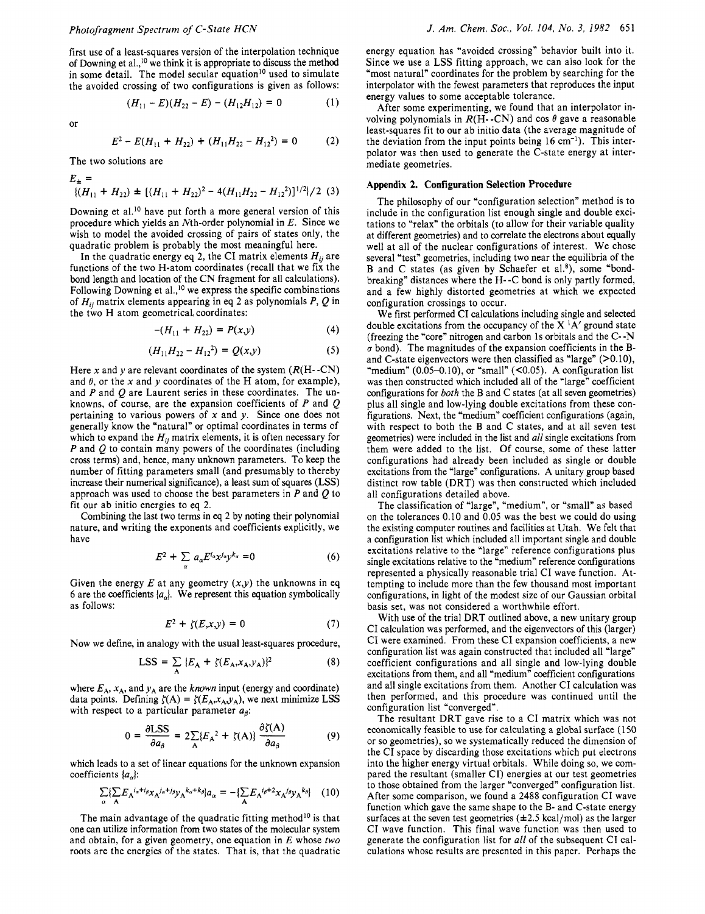first use of a least-squares version of the interpolation technique of Downing et al.,<sup>10</sup> we think it is appropriate to discuss the method in some detail. The model secular equation<sup>10</sup> used to simulate the avoided crossing of two configurations is given as follows:

$$
(H_{11} - E)(H_{22} - E) - (H_{12}H_{12}) = 0 \tag{1}
$$

or

$$
E2 - E(H11 + H22) + (H11H22 - H122) = 0
$$
 (2)

The two solutions are

$$
E_{\pm} =
$$
  
 
$$
\{(H_{11} + H_{22}) \pm [(H_{11} + H_{22})^2 - 4(H_{11}H_{22} - H_{12}^2)]^{1/2}\}/2
$$
 (3)

Downing et al.<sup>10</sup> have put forth a more general version of this procedure which yields an Nth-order polynomial in *E.* Since we wish to model the avoided crossing of pairs of states only, the quadratic problem is probably the most meaningful here.

In the quadratic energy eq *2,* the CI matrix elements *Hij* are functions of the two H-atom coordinates (recall that we fix the bond length and location of the CN fragment for all calculations). Following Downing et al., $^{10}$  we express the specific combinations of *Hij* matrix elements appearing in eq *2* as polynomials *P, Q* in the two H atom geometrical coordinates:

$$
-(H_{11} + H_{22}) = P(x, y) \tag{4}
$$

$$
(H_{11}H_{22} - H_{12}^2) = Q(x,y) \tag{5}
$$

Here x and y are relevant coordinates of the system  $(R(H-CN))$ and  $\theta$ , or the x and y coordinates of the H atom, for example), and *P* and *Q* are Laurent series in these coordinates. The unknowns, of course, are the expansion coefficients of P and *Q*  pertaining to various powers of **x** and *y.* Since one does not generally know the "natural" or optimal coordinates in terms of which to expand the  $H_{ij}$  matrix elements, it is often necessary for *P* and *Q* to contain many powers of the coordinates (including cross terms) and, hence, many unknown parameters. To keep the number of fitting parameters small (and presumably to thereby increase their numerical significance), a least sum of squares (LSS) approach was used to choose the best parameters in *P* and *Q* to fit our ab initio energies to eq **2.** 

Combining the last two terms in *eq 2* by noting their polynomial nature, and writing the exponents and coefficients explicitly, we have

$$
E^2 + \sum_{\alpha} a_{\alpha} E^{i_{\alpha}} x^{j_{\alpha}} y^{k_{\alpha}} = 0 \tag{6}
$$

Given the energy  $E$  at any geometry  $(x,y)$  the unknowns in eq. 6 are the coefficients  ${a_{\alpha}}$ . We represent this equation symbolically as follows:

$$
E^2 + \zeta(E, x, y) = 0 \tag{7}
$$

Now we define, in analogy with the usual least-squares procedure,

$$
LSS = \sum_{\mathbf{A}} \{ E_{\mathbf{A}} + \zeta (E_{\mathbf{A}}, x_{\mathbf{A}}, y_{\mathbf{A}}) \}^2 \tag{8}
$$

where  $E_A$ ,  $x_A$ , and  $y_A$  are the *known* input (energy and coordinate) data points. Defining  $\zeta(A) = \zeta(E_A, x_A, y_A)$ , we next minimize LSS with respect to a particular parameter  $a_{\beta}$ :

$$
0 = \frac{\partial \text{LSS}}{\partial a_{\beta}} = 2\sum_{\mathbf{A}} \{E_{\mathbf{A}}^2 + \zeta(\mathbf{A})\} \frac{\partial \zeta(\mathbf{A})}{\partial a_{\beta}} \tag{9}
$$

which leads to a set of linear equations for the unknown expansion coefficients *{aa]:* 

$$
\sum_{\alpha} {\sum_{\mathbf{A}} {\sum_{\mathbf{A}}^{i_{\alpha}+i_{\beta}} \chi_{\mathbf{A}}^{j_{\alpha}+j_{\beta}} y_{\mathbf{A}}^{k_{\alpha}+k_{\beta}}} a_{\alpha}} = -{\sum_{\mathbf{A}} {\sum_{\mathbf{A}}^{i_{\beta}+2} \chi_{\mathbf{A}}^{j_{\beta}} y_{\mathbf{A}}^{k_{\beta}}} \quad (10)
$$

The main advantage of the quadratic fitting method<sup>10</sup> is that one can utilize information from two states of the molecular system and obtain, for a given geometry, one equation in *E* whose *two*  roots are the energies of the states. That is, that the quadratic

energy equation has "avoided crossing" behavior built into it. Since we use a LSS fitting approach, we can also look for the "most natural" coordinates for the problem by searching for the interpolator with the fewest parameters that reproduces the input energy values to some acceptable tolerance.

After some experimenting, we found that an interpolator involving polynomials in  $R(H-CN)$  and cos  $\theta$  gave a reasonable least-squares fit to our ab initio data (the average magnitude of the deviation from the input points being  $16 \text{ cm}^{-1}$ ). This interpolator was then used to generate the C-state energy at intermediate geometries.

#### **Appendix 2. Configuration Selection Procedure**

The philosophy of our "configuration selection" method is to include in the configuration list enough single and double excitations to "relax" the orbitals (to allow for their variable quality at different geometries) and to correlate the electrons about equally well at all of the nuclear configurations of interest. We chose several "test" geometries, including two near the equilibria of the B and C states (as given by Schaefer et al.<sup>8</sup>), some "bondbreaking" distances where the H- -C bond is only partly formed, and a few highly distorted geometries at which we expected configuration crossings to occur.

We first performed CI calculations including single and selected double excitations from the occupancy of the **X** 'A' ground state (freezing the "core" nitrogen and carbon **1s** orbitals and the C--N  $\sigma$  bond). The magnitudes of the expansion coefficients in the Band C-state eigenvectors were then classified as "large" (>0.10), "medium" (0.05-0.10), or "small" **(C0.05).** A configuration list was then constructed which included all of the "large" coefficient configurations for *both* the B and C states (at all seven geometries) plus all single and low-lying double excitations from these configurations. Next, the "medium" coefficient configurations (again, with respect to both the **B** and C states, and at all seven test geometries) were included in the list and *all* single excitations from them were added to the list. Of course, some of these latter configurations had already been included as single or double excitations from the "large" configurations. A unitary group based distinct row table (DRT) was then constructed which included all configurations detailed above.

The classification of "large", "medium", or "small" as based on the tolerances 0.10 and 0.05 was the best we could do using the existing computer routines and facilities at Utah. We felt that a configuration list which included all important single and double excitations relative to the "large" reference configurations plus single excitations relative to the "medium" reference configurations represented a physically reasonable trial CI wave function. Attempting to include more than the few thousand most important configurations, in light of the modest size of our Gaussian orbital basis set, was not considered a worthwhile effort.

With use of the trial DRT outlined above, a new unitary group CI calculation was performed, and the eigenvectors of this (larger) CI were examined. From these CI expansion coefficients, a new configuration list was again constructed that included all "large" coefficient configurations and all single and low-lying double excitations from them, and all "medium" coefficient configurations and all single excitations from them. Another CI calculation was then performed, and this procedure was continued until the configuration list "converged".

The resultant DRT gave rise to a CI matrix which was not economically feasible to use for calculating a global surface (150) or *so* geometries), so we systematically reduced the dimension of the CI space by discarding those excitations which put electrons into the higher energy virtual orbitals. While doing so, we compared the resultant (smaller CI) energies at our test geometries to those obtained from the larger "converged" configuration list. After some comparison, we found a 2488 configuration CI wave function which gave the same shape to the B- and C-state energy surfaces at the seven test geometries ( $\pm 2.5$  kcal/mol) as the larger CI wave function. This final wave function was then used to generate the configuration list for *all* of the subsequent **CI** calculations whose results are presented in this paper. Perhaps the